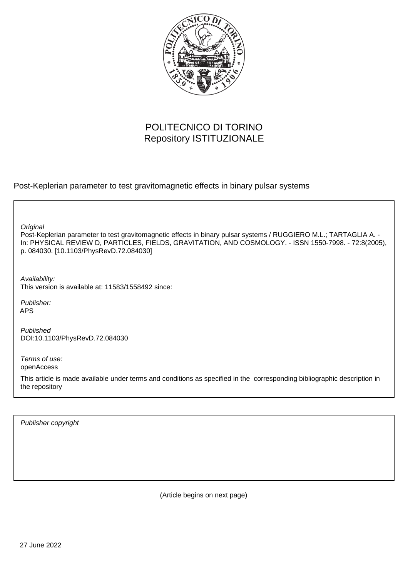

# POLITECNICO DI TORINO Repository ISTITUZIONALE

Post-Keplerian parameter to test gravitomagnetic effects in binary pulsar systems

**Original** 

Post-Keplerian parameter to test gravitomagnetic effects in binary pulsar systems / RUGGIERO M.L.; TARTAGLIA A. - In: PHYSICAL REVIEW D, PARTICLES, FIELDS, GRAVITATION, AND COSMOLOGY. - ISSN 1550-7998. - 72:8(2005), p. 084030. [10.1103/PhysRevD.72.084030]

Availability: This version is available at: 11583/1558492 since:

Publisher: APS

Published DOI:10.1103/PhysRevD.72.084030

Terms of use: openAccess

This article is made available under terms and conditions as specified in the corresponding bibliographic description in the repository

Publisher copyright

(Article begins on next page)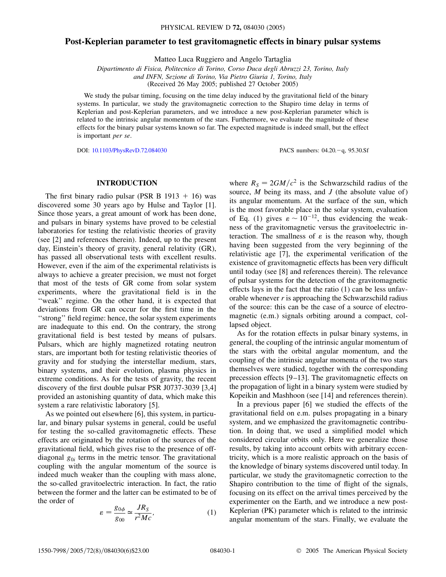# **Post-Keplerian parameter to test gravitomagnetic effects in binary pulsar systems**

Matteo Luca Ruggiero and Angelo Tartaglia

*Dipartimento di Fisica, Politecnico di Torino, Corso Duca degli Abruzzi 23, Torino, Italy and INFN, Sezione di Torino, Via Pietro Giuria 1, Torino, Italy*

(Received 26 May 2005; published 27 October 2005)

We study the pulsar timing, focusing on the time delay induced by the gravitational field of the binary systems. In particular, we study the gravitomagnetic correction to the Shapiro time delay in terms of Keplerian and post-Keplerian parameters, and we introduce a new post-Keplerian parameter which is related to the intrinsic angular momentum of the stars. Furthermore, we evaluate the magnitude of these effects for the binary pulsar systems known so far. The expected magnitude is indeed small, but the effect is important *per se*.

DOI: [10.1103/PhysRevD.72.084030](http://dx.doi.org/10.1103/PhysRevD.72.084030) PACS numbers: 04.20.q, 95.30.Sf

#### **INTRODUCTION**

The first binary radio pulsar (PSR B  $1913 + 16$ ) was discovered some 30 years ago by Hulse and Taylor [1]. Since those years, a great amount of work has been done, and pulsars in binary systems have proved to be celestial laboratories for testing the relativistic theories of gravity (see [2] and references therein). Indeed, up to the present day, Einstein's theory of gravity, general relativity (GR), has passed all observational tests with excellent results. However, even if the aim of the experimental relativists is always to achieve a greater precision, we must not forget that most of the tests of GR come from solar system experiments, where the gravitational field is in the "weak" regime. On the other hand, it is expected that deviations from GR can occur for the first time in the ''strong'' field regime: hence, the solar system experiments are inadequate to this end. On the contrary, the strong gravitational field is best tested by means of pulsars. Pulsars, which are highly magnetized rotating neutron stars, are important both for testing relativistic theories of gravity and for studying the interstellar medium, stars, binary systems, and their evolution, plasma physics in extreme conditions. As for the tests of gravity, the recent discovery of the first double pulsar PSR J0737-3039 [3,4] provided an astonishing quantity of data, which make this system a rare relativistic laboratory [5].

As we pointed out elsewhere [6], this system, in particular, and binary pulsar systems in general, could be useful for testing the so-called gravitomagnetic effects. These effects are originated by the rotation of the sources of the gravitational field, which gives rise to the presence of offdiagonal  $g_{0i}$  terms in the metric tensor. The gravitational coupling with the angular momentum of the source is indeed much weaker than the coupling with mass alone, the so-called gravitoelectric interaction. In fact, the ratio between the former and the latter can be estimated to be of the order of

$$
\varepsilon = \frac{g_{0\phi}}{g_{00}} \simeq \frac{JR_S}{r^2Mc},\tag{1}
$$

where  $R<sub>S</sub> = 2GM/c<sup>2</sup>$  is the Schwarzschild radius of the source, *M* being its mass, and *J* (the absolute value of) its angular momentum. At the surface of the sun, which is the most favorable place in the solar system, evaluation of Eq. (1) gives  $\varepsilon \sim 10^{-12}$ , thus evidencing the weakness of the gravitomagnetic versus the gravitoelectric interaction. The smallness of  $\varepsilon$  is the reason why, though having been suggested from the very beginning of the relativistic age [7], the experimental verification of the existence of gravitomagnetic effects has been very difficult until today (see [8] and references therein). The relevance of pulsar systems for the detection of the gravitomagnetic effects lays in the fact that the ratio (1) can be less unfavorable whenever *r* is approaching the Schwarzschild radius of the source: this can be the case of a source of electromagnetic (e.m.) signals orbiting around a compact, collapsed object.

As for the rotation effects in pulsar binary systems, in general, the coupling of the intrinsic angular momentum of the stars with the orbital angular momentum, and the coupling of the intrinsic angular momenta of the two stars themselves were studied, together with the corresponding precession effects [9–13]. The gravitomagnetic effects on the propagation of light in a binary system were studied by Kopeikin and Mashhoon (see [14] and references therein).

In a previous paper [6] we studied the effects of the gravitational field on e.m. pulses propagating in a binary system, and we emphasized the gravitomagnetic contribution. In doing that, we used a simplified model which considered circular orbits only. Here we generalize those results, by taking into account orbits with arbitrary eccentricity, which is a more realistic approach on the basis of the knowledge of binary systems discovered until today. In particular, we study the gravitomagnetic correction to the Shapiro contribution to the time of flight of the signals, focusing on its effect on the arrival times perceived by the experimenter on the Earth, and we introduce a new post-Keplerian (PK) parameter which is related to the intrinsic angular momentum of the stars. Finally, we evaluate the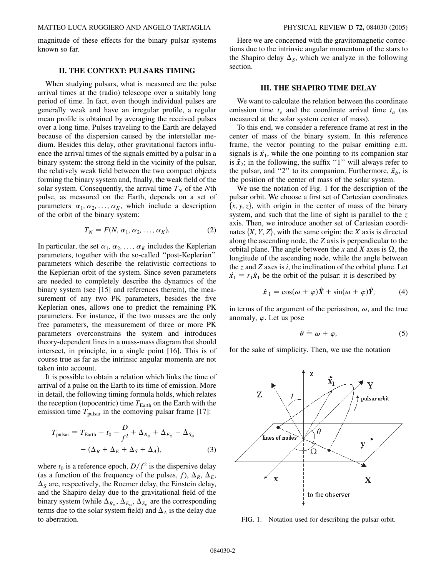magnitude of these effects for the binary pulsar systems known so far.

#### **II. THE CONTEXT: PULSARS TIMING**

When studying pulsars, what is measured are the pulse arrival times at the (radio) telescope over a suitably long period of time. In fact, even though individual pulses are generally weak and have an irregular profile, a regular mean profile is obtained by averaging the received pulses over a long time. Pulses traveling to the Earth are delayed because of the dispersion caused by the interstellar medium. Besides this delay, other gravitational factors influence the arrival times of the signals emitted by a pulsar in a binary system: the strong field in the vicinity of the pulsar, the relatively weak field between the two compact objects forming the binary system and, finally, the weak field of the solar system. Consequently, the arrival time  $T_N$  of the *N*th pulse, as measured on the Earth, depends on a set of parameters  $\alpha_1, \alpha_2, \ldots, \alpha_K$ , which include a description of the orbit of the binary system:

$$
T_N = F(N, \alpha_1, \alpha_2, \dots, \alpha_K). \tag{2}
$$

In particular, the set  $\alpha_1, \alpha_2, \ldots, \alpha_K$  includes the Keplerian parameters, together with the so-called ''post-Keplerian'' parameters which describe the relativistic corrections to the Keplerian orbit of the system. Since seven parameters are needed to completely describe the dynamics of the binary system (see [15] and references therein), the measurement of any two PK parameters, besides the five Keplerian ones, allows one to predict the remaining PK parameters. For instance, if the two masses are the only free parameters, the measurement of three or more PK parameters overconstrains the system and introduces theory-dependent lines in a mass-mass diagram that should intersect, in principle, in a single point [16]. This is of course true as far as the intrinsic angular momenta are not taken into account.

It is possible to obtain a relation which links the time of arrival of a pulse on the Earth to its time of emission. More in detail, the following timing formula holds, which relates the reception (topocentric) time  $T_{\text{Earth}}$  on the Earth with the emission time  $T_{\text{pulsar}}$  in the comoving pulsar frame [17]:

$$
T_{\text{pulsar}} = T_{\text{Earth}} - t_0 - \frac{D}{f^2} + \Delta_{R_{\text{o}}} + \Delta_{E_{\text{o}}} - \Delta_{S_{\text{o}}}
$$

$$
- (\Delta_R + \Delta_E + \Delta_S + \Delta_A), \qquad (3)
$$

where  $t_0$  is a reference epoch,  $D/f^2$  is the dispersive delay (as a function of the frequency of the pulses, *f*),  $\Delta_R$ ,  $\Delta_E$ ,  $\Delta<sub>S</sub>$  are, respectively, the Roemer delay, the Einstein delay, and the Shapiro delay due to the gravitational field of the binary system (while  $\Delta_{R_{\odot}}, \Delta_{E_{\odot}}, \Delta_{S_{\odot}}$  are the corresponding terms due to the solar system field) and  $\Delta_A$  is the delay due to aberration.

Here we are concerned with the gravitomagnetic corrections due to the intrinsic angular momentum of the stars to the Shapiro delay  $\Delta_s$ , which we analyze in the following section.

#### **III. THE SHAPIRO TIME DELAY**

We want to calculate the relation between the coordinate emission time  $t_e$  and the coordinate arrival time  $t_a$  (as measured at the solar system center of mass).

To this end, we consider a reference frame at rest in the center of mass of the binary system. In this reference frame, the vector pointing to the pulsar emitting e.m. signals is  $\vec{x}_1$ , while the one pointing to its companion star is  $\vec{x}_2$ ; in the following, the suffix "1" will always refer to the pulsar, and "2" to its companion. Furthermore,  $\vec{x}_b$ , is the position of the center of mass of the solar system.

We use the notation of Fig. 1 for the description of the pulsar orbit. We choose a first set of Cartesian coordinates  $\{x, y, z\}$ , with origin in the center of mass of the binary system, and such that the line of sight is parallel to the *z* axis. Then, we introduce another set of Cartesian coordinates  $\{X, Y, Z\}$ , with the same origin: the *X* axis is directed along the ascending node, the *Z* axis is perpendicular to the orbital plane. The angle between the x and X axes is  $\Omega$ , the longitude of the ascending node, while the angle between the *z* and *Z* axes is *i*, the inclination of the orbital plane. Let  $\vec{x}_1 = r_1 \hat{x}_1$  be the orbit of the pulsar: it is described by

$$
\hat{x}_1 = \cos(\omega + \varphi)\hat{X} + \sin(\omega + \varphi)\hat{Y}, \tag{4}
$$

in terms of the argument of the periastron,  $\omega$ , and the true anomaly,  $\varphi$ . Let us pose

$$
\theta \doteq \omega + \varphi, \tag{5}
$$

for the sake of simplicity. Then, we use the notation



FIG. 1. Notation used for describing the pulsar orbit.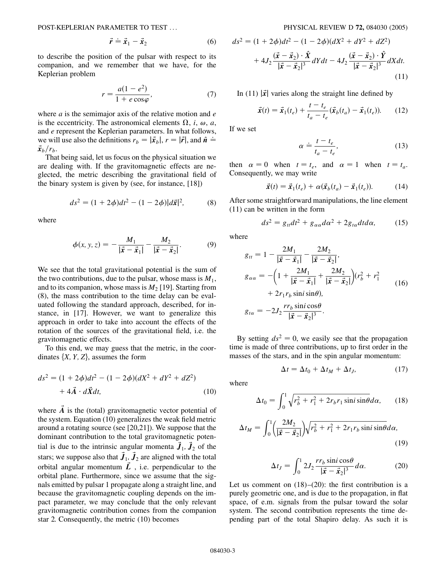POST-KEPLERIAN PARAMETER TO TEST ... PHYSICAL REVIEW D **72,** 084030 (2005)

$$
\vec{r} \doteq \vec{x}_1 - \vec{x}_2 \tag{6}
$$

to describe the position of the pulsar with respect to its companion, and we remember that we have, for the Keplerian problem

$$
r = \frac{a(1 - e^2)}{1 + e \cos \varphi},\tag{7}
$$

where *a* is the semimajor axis of the relative motion and *e* is the eccentricity. The astronomical elements  $\Omega$ , *i*,  $\omega$ , *a*, and *e* represent the Keplerian parameters. In what follows, *:* we will use also the definitions  $r_b = |\vec{x}_b|, r = |\vec{r}|$ , and  $\hat{n} =$  $\vec{x}_h/r_h$ .

That being said, let us focus on the physical situation we are dealing with. If the gravitomagnetic effects are neglected, the metric describing the gravitational field of the binary system is given by (see, for instance, [18])

$$
ds^{2} = (1 + 2\phi)dt^{2} - (1 - 2\phi)|d\vec{x}|^{2},
$$
 (8)

where

$$
\phi(x, y, z) = -\frac{M_1}{|\vec{x} - \vec{x}_1|} - \frac{M_2}{|\vec{x} - \vec{x}_2|}.
$$
 (9)

We see that the total gravitational potential is the sum of the two contributions, due to the pulsar, whose mass is  $M_1$ , and to its companion, whose mass is  $M_2$  [19]. Starting from (8), the mass contribution to the time delay can be evaluated following the standard approach, described, for instance, in [17]. However, we want to generalize this approach in order to take into account the effects of the rotation of the sources of the gravitational field, i.e. the gravitomagnetic effects.

To this end, we may guess that the metric, in the coordinates  $\{X, Y, Z\}$ , assumes the form

$$
ds^{2} = (1 + 2\phi)dt^{2} - (1 - 2\phi)(dX^{2} + dY^{2} + dZ^{2})
$$
  
+ 4\vec{A} \cdot d\vec{X}dt, (10)

where  $\vec{A}$  is the (total) gravitomagnetic vector potential of the system. Equation (10) generalizes the weak field metric around a rotating source (see [20,21]). We suppose that the dominant contribution to the total gravitomagnetic potential is due to the intrinsic angular momenta  $\vec{J}_1$ ,  $\vec{J}_2$  of the stars; we suppose also that  $\vec{J}_1$ ,  $\vec{J}_2$  are aligned with the total orbital angular momentum  $\vec{L}$ , i.e. perpendicular to the orbital plane. Furthermore, since we assume that the signals emitted by pulsar 1 propagate along a straight line, and because the gravitomagnetic coupling depends on the impact parameter, we may conclude that the only relevant gravitomagnetic contribution comes from the companion star 2. Consequently, the metric (10) becomes

$$
ds^{2} = (1 + 2\phi)dt^{2} - (1 - 2\phi)(dX^{2} + dY^{2} + dZ^{2})
$$
  
+ 
$$
4J_{2}\frac{(\vec{x} - \vec{x}_{2}) \cdot \hat{X}}{|\vec{x} - \vec{x}_{2}|^{3}}dYdt - 4J_{2}\frac{(\vec{x} - \vec{x}_{2}) \cdot \hat{Y}}{|\vec{x} - \vec{x}_{2}|^{3}}dXdt.
$$
(11)

In (11)  $|\vec{x}|$  varies along the straight line defined by

$$
\vec{x}(t) = \vec{x}_1(t_e) + \frac{t - t_e}{t_a - t_e} (\vec{x}_b(t_a) - \vec{x}_1(t_e)).
$$
 (12)

If we set

$$
\alpha \doteq \frac{t - t_e}{t_a - t_e},\tag{13}
$$

then  $\alpha = 0$  when  $t = t_e$ , and  $\alpha = 1$  when  $t = t_a$ . Consequently, we may write

$$
\vec{x}(t) = \vec{x}_1(t_e) + \alpha(\vec{x}_b(t_a) - \vec{x}_1(t_e)). \tag{14}
$$

After some straightforward manipulations, the line element (11) can be written in the form

$$
ds^2 = g_{tt}dt^2 + g_{\alpha\alpha}d\alpha^2 + 2g_{t\alpha}dtd\alpha, \qquad (15)
$$

where

$$
g_{tt} = 1 - \frac{2M_1}{|\vec{x} - \vec{x}_1|} - \frac{2M_2}{|\vec{x} - \vec{x}_2|},
$$
  
\n
$$
g_{\alpha\alpha} = -\left(1 + \frac{2M_1}{|\vec{x} - \vec{x}_1|} + \frac{2M_2}{|\vec{x} - \vec{x}_2|}\right)(r_b^2 + r_1^2 + 2r_1r_b \sin i \sin \theta),
$$
  
\n
$$
g_{t\alpha} = -2J_2 \frac{rr_b \sin i \cos \theta}{|\vec{x} - \vec{x}_2|^3}.
$$
 (16)

By setting  $ds^2 = 0$ , we easily see that the propagation time is made of three contributions, up to first order in the masses of the stars, and in the spin angular momentum:

$$
\Delta t = \Delta t_0 + \Delta t_M + \Delta t_J, \tag{17}
$$

where

$$
\Delta t_0 = \int_0^1 \sqrt{r_b^2 + r_1^2 + 2r_b r_1 \sin i \sin \theta} d\alpha, \qquad (18)
$$

$$
\Delta t_M = \int_0^1 \left( \frac{2M_2}{|\vec{x} - \vec{x}_2|} \right) \sqrt{r_b^2 + r_1^2 + 2r_1r_b \sin i \sin \theta} d\alpha,
$$
\n(19)

$$
\Delta t_J = \int_0^1 2J_2 \frac{rr_b \sin i \cos \theta}{|\vec{x} - \vec{x}_2|^3} d\alpha.
$$
 (20)

Let us comment on  $(18)$ – $(20)$ : the first contribution is a purely geometric one, and is due to the propagation, in flat space, of e.m. signals from the pulsar toward the solar system. The second contribution represents the time depending part of the total Shapiro delay. As such it is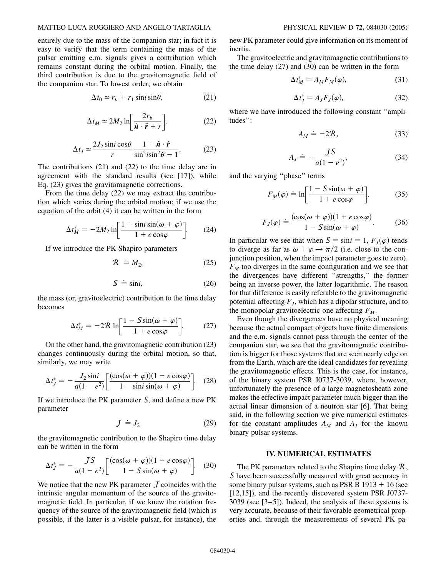#### MATTEO LUCA RUGGIERO AND ANGELO TARTAGLIA PHYSICAL REVIEW D **72,** 084030 (2005)

entirely due to the mass of the companion star; in fact it is easy to verify that the term containing the mass of the pulsar emitting e.m. signals gives a contribution which remains constant during the orbital motion. Finally, the third contribution is due to the gravitomagnetic field of the companion star. To lowest order, we obtain

$$
\Delta t_0 \simeq r_b + r_1 \sin i \sin \theta, \tag{21}
$$

$$
\Delta t_M \simeq 2M_2 \ln \left[ \frac{2r_b}{\hat{n} \cdot \vec{r} + r} \right],\tag{22}
$$

$$
\Delta t_J \simeq \frac{2J_2 \sin i \cos \theta}{r} \frac{1 - \hat{n} \cdot \hat{r}}{\sin^2 i \sin^2 \theta - 1}.
$$
 (23)

The contributions (21) and (22) to the time delay are in agreement with the standard results (see [17]), while Eq. (23) gives the gravitomagnetic corrections.

From the time delay (22) we may extract the contribution which varies during the orbital motion; if we use the equation of the orbit (4) it can be written in the form

$$
\Delta t_M^* = -2M_2 \ln \left[ \frac{1 - \sin i \sin(\omega + \varphi)}{1 + e \cos \varphi} \right].
$$
 (24)

If we introduce the PK Shapiro parameters

$$
R \doteq M_2, \tag{25}
$$

$$
S \doteq \sin i,\tag{26}
$$

the mass (or, gravitoelectric) contribution to the time delay becomes

$$
\Delta t_M^* = -2\mathcal{R} \ln \left[ \frac{1 - S\sin(\omega + \varphi)}{1 + e\cos\varphi} \right].
$$
 (27)

On the other hand, the gravitomagnetic contribution (23) changes continuously during the orbital motion, so that, similarly, we may write

$$
\Delta t_J^* = -\frac{J_2 \sin i}{a(1 - e^2)} \left[ \frac{(\cos(\omega + \varphi))(1 + e \cos \varphi)}{1 - \sin i \sin(\omega + \varphi)} \right].
$$
 (28)

If we introduce the PK parameter S, and define a new PK parameter

$$
J \stackrel{.}{=} J_2 \tag{29}
$$

the gravitomagnetic contribution to the Shapiro time delay can be written in the form

$$
\Delta t_J^* = -\frac{JS}{a(1 - e^2)} \left[ \frac{(\cos(\omega + \varphi))(1 + e \cos \varphi)}{1 - S \sin(\omega + \varphi)} \right]. \quad (30)
$$

We notice that the new PK parameter  $J$  coincides with the intrinsic angular momentum of the source of the gravitomagnetic field. In particular, if we knew the rotation frequency of the source of the gravitomagnetic field (which is possible, if the latter is a visible pulsar, for instance), the new PK parameter could give information on its moment of inertia.

The gravitoelectric and gravitomagnetic contributions to the time delay (27) and (30) can be written in the form

$$
\Delta t_M^* = A_M F_M(\varphi),\tag{31}
$$

$$
\Delta t_J^* = A_J F_J(\varphi),\tag{32}
$$

where we have introduced the following constant ''amplitudes'':

$$
A_M \doteq -2\mathcal{R},\tag{33}
$$

$$
A_J \doteq -\frac{JS}{a(1-e^2)},\tag{34}
$$

and the varying ''phase'' terms

$$
F_M(\varphi) \doteq \ln\left[\frac{1 - S\sin(\omega + \varphi)}{1 + e\cos\varphi}\right],\tag{35}
$$

$$
F_J(\varphi) = \frac{(\cos(\omega + \varphi))(1 + e \cos \varphi)}{1 - S \sin(\omega + \varphi)}.
$$
 (36)

In particular we see that when  $S = \sin i = 1$ ,  $F<sub>J</sub>(\varphi)$  tends to diverge as far as  $\omega + \varphi \rightarrow \pi/2$  (i.e. close to the conjunction position, when the impact parameter goes to zero).  $F<sub>M</sub>$  too diverges in the same configuration and we see that the divergences have different ''strengths,'' the former being an inverse power, the latter logarithmic. The reason for that difference is easily referable to the gravitomagnetic potential affecting  $F<sub>I</sub>$ , which has a dipolar structure, and to the monopolar gravitoelectric one affecting  $F_M$ .

Even though the divergences have no physical meaning because the actual compact objects have finite dimensions and the e.m. signals cannot pass through the center of the companion star, we see that the gravitomagnetic contribution is bigger for those systems that are seen nearly edge on from the Earth, which are the ideal candidates for revealing the gravitomagnetic effects. This is the case, for instance, of the binary system PSR J0737-3039, where, however, unfortunately the presence of a large magnetosheath zone makes the effective impact parameter much bigger than the actual linear dimension of a neutron star [6]. That being said, in the following section we give numerical estimates for the constant amplitudes  $A_M$  and  $A_J$  for the known binary pulsar systems.

## **IV. NUMERICAL ESTIMATES**

The PK parameters related to the Shapiro time delay  $\mathcal{R}$ , S have been successfully measured with great accuracy in some binary pulsar systems, such as PSR B  $1913 + 16$  (see [12,15]), and the recently discovered system PSR J0737- 3039 (see [3–5]). Indeed, the analysis of these systems is very accurate, because of their favorable geometrical properties and, through the measurements of several PK pa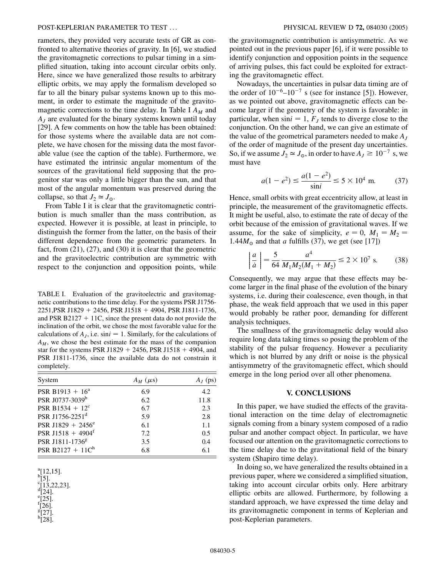rameters, they provided very accurate tests of GR as confronted to alternative theories of gravity. In [6], we studied the gravitomagnetic corrections to pulsar timing in a simplified situation, taking into account circular orbits only. Here, since we have generalized those results to arbitrary elliptic orbits, we may apply the formalism developed so far to all the binary pulsar systems known up to this moment, in order to estimate the magnitude of the gravitomagnetic corrections to the time delay. In Table I *AM* and *AJ* are evaluated for the binary systems known until today [29]. A few comments on how the table has been obtained: for those systems where the available data are not complete, we have chosen for the missing data the most favorable value (see the caption of the table). Furthermore, we have estimated the intrinsic angular momentum of the sources of the gravitational field supposing that the progenitor star was only a little bigger than the sun, and that most of the angular momentum was preserved during the collapse, so that  $J_2 \simeq J_0$ .

From Table I it is clear that the gravitomagnetic contribution is much smaller than the mass contribution, as expected. However it is possible, at least in principle, to distinguish the former from the latter, on the basis of their different dependence from the geometric parameters. In fact, from (21), (27), and (30) it is clear that the geometric and the gravitoelectric contribution are symmetric with respect to the conjunction and opposition points, while

TABLE I. Evaluation of the gravitoelectric and gravitomagnetic contributions to the time delay. For the systems PSR J1756- 2251,PSR J1829 - 2456, PSR J1518 - 4904, PSR J1811-1736, and PSR B2127  $+$  11C, since the present data do not provide the inclination of the orbit, we chose the most favorable value for the calculations of  $A_j$ , i.e. sin $i = 1$ . Similarly, for the calculations of *AM*, we chose the best estimate for the mass of the companion star for the systems PSR J1829  $+$  2456, PSR J1518  $+$  4904, and PSR J1811-1736, since the available data do not constrain it completely.

| System                          | $A_M$ ( $\mu$ s) | $A_I$ (ps) |
|---------------------------------|------------------|------------|
| PSR B1913 + $16^a$              | 6.9              | 4.2        |
| PSR J0737-3039b                 | 6.2              | 11.8       |
| PSR B1534 + $12^c$              | 6.7              | 2.3        |
| PSR J1756-2251 <sup>d</sup>     | 5.9              | 2.8        |
| PSR J1829 + 2456 <sup>e</sup>   | 6.1              | 1.1        |
| PSR J1518 + $4904$ <sup>f</sup> | 7.2              | 0.5        |
| PSR J1811-1736 <sup>g</sup>     | 3.5              | 0.4        |
| PSR B2127 + $11Ch$              | 6.8              | 6.1        |

 $^{\rm a}$ [12,15].  $\frac{b[5]}{c_{11}}$  $[1\overline{3},22,23]$ . d [24]. e  $[25]$ . f [26]. g [27]. h [28].

the gravitomagnetic contribution is antisymmetric. As we pointed out in the previous paper [6], if it were possible to identify conjunction and opposition points in the sequence of arriving pulses, this fact could be exploited for extracting the gravitomagnetic effect.

Nowadays, the uncertainties in pulsar data timing are of the order of  $10^{-6}$ – $10^{-7}$  s (see for instance [5]). However, as we pointed out above, gravitomagnetic effects can become larger if the geometry of the system is favorable: in particular, when  $\sin i = 1$ ,  $F<sub>J</sub>$  tends to diverge close to the conjunction. On the other hand, we can give an estimate of the value of the geometrical parameters needed to make *AJ* of the order of magnitude of the present day uncertainties. So, if we assume  $J_2 \approx J_0$ , in order to have  $A_J \ge 10^{-7}$  s, we must have

$$
a(1 - e^2) \le \frac{a(1 - e^2)}{\sin i} \le 5 \times 10^4 \text{ m.}
$$
 (37)

Hence, small orbits with great eccentricity allow, at least in principle, the measurement of the gravitomagnetic effects. It might be useful, also, to estimate the rate of decay of the orbit because of the emission of gravitational waves. If we assume, for the sake of simplicity,  $e = 0$ ,  $M_1 = M_2$ 1.44 $M_{\odot}$  and that *a* fulfills (37), we get (see [17])

$$
\left| \frac{a}{\dot{a}} \right| = \frac{5}{64} \frac{a^4}{M_1 M_2 (M_1 + M_2)} \le 2 \times 10^7 \text{ s.}
$$
 (38)

Consequently, we may argue that these effects may become larger in the final phase of the evolution of the binary systems, i.e. during their coalescence, even though, in that phase, the weak field approach that we used in this paper would probably be rather poor, demanding for different analysis techniques.

The smallness of the gravitomagnetic delay would also require long data taking times so posing the problem of the stability of the pulsar frequency. However a peculiarity which is not blurred by any drift or noise is the physical antisymmetry of the gravitomagnetic effect, which should emerge in the long period over all other phenomena.

# **V. CONCLUSIONS**

In this paper, we have studied the effects of the gravitational interaction on the time delay of electromagnetic signals coming from a binary system composed of a radio pulsar and another compact object. In particular, we have focused our attention on the gravitomagnetic corrections to the time delay due to the gravitational field of the binary system (Shapiro time delay).

In doing so, we have generalized the results obtained in a previous paper, where we considered a simplified situation, taking into account circular orbits only. Here arbitrary elliptic orbits are allowed. Furthermore, by following a standard approach, we have expressed the time delay and its gravitomagnetic component in terms of Keplerian and post-Keplerian parameters.